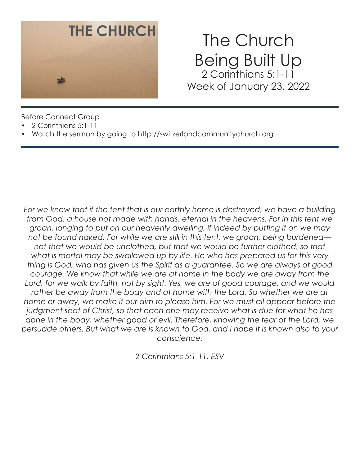

# The Church Being Built Up 2 Corinthians 5:1-11 Week of January 23, 2022

Before Connect Group

- 2 Corinthians 5:1-11
- Watch the sermon by going to http://switzerlandcommunitychurch.org

For we know that if the tent that is our earthly home is destroyed, we have a building *from God, a house not made with hands, eternal in the heavens. For in this tent we groan, longing to put on our heavenly dwelling, if indeed by putting it on we may not be found naked. For while we are still in this tent, we groan, being burdened* not that we would be unclothed, but that we would be further clothed, so that *what is mortal may be swallowed up by life. He who has prepared us for this very thing is God, who has given us the Spirit as a guarantee. So we are always of good courage. We know that while we are at home in the body we are away from the*  Lord, for we walk by faith, not by sight. Yes, we are of good courage, and we would rather be away from the body and at home with the Lord. So whether we are at home or away, we make it our aim to please him. For we must all appear before the *judgment seat of Christ, so that each one may receive what is due for what he has done in the body, whether good or evil. Therefore, knowing the fear of the Lord, we persuade others. But what we are is known to God, and I hope it is known also to your conscience.*

*2 Corinthians 5:1-11, ESV*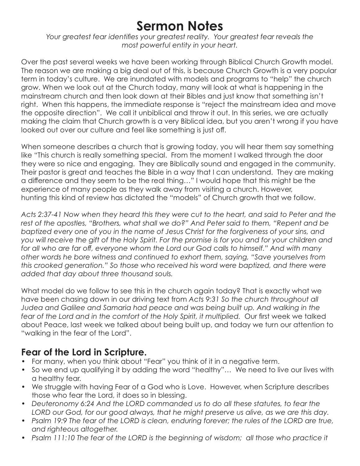## **Sermon Notes**

*Your greatest fear identifies your greatest reality. Your greatest fear reveals the most powerful entity in your heart.* 

Over the past several weeks we have been working through Biblical Church Growth model. The reason we are making a big deal out of this, is because Church Growth is a very popular term in today's culture. We are inundated with models and programs to "help" the church grow. When we look out at the Church today, many will look at what is happening in the mainstream church and then look down at their Bibles and just know that something isn't right. When this happens, the immediate response is "reject the mainstream idea and move the opposite direction". We call it unbiblical and throw it out. In this series, we are actually making the claim that Church growth is a very Biblical idea, but you aren't wrong if you have looked out over our culture and feel like something is just off.

When someone describes a church that is growing today, you will hear them say something like "This church is really something special. From the moment I walked through the door they were so nice and engaging. They are Biblically sound and engaged in the community. Their pastor is great and teaches the Bible in a way that I can understand. They are making a difference and they seem to be the real thing…" I would hope that this might be the experience of many people as they walk away from visiting a church. However, hunting this kind of review has dictated the "models" of Church growth that we follow.

*Acts 2:37-41 Now when they heard this they were cut to the heart, and said to Peter and the rest of the apostles, "Brothers, what shall we do?" And Peter said to them, "Repent and be baptized every one of you in the name of Jesus Christ for the forgiveness of your sins, and you will receive the gift of the Holy Spirit. For the promise is for you and for your children and for all who are far off, everyone whom the Lord our God calls to himself." And with many other words he bore witness and continued to exhort them, saying, "Save yourselves from this crooked generation." So those who received his word were baptized, and there were added that day about three thousand souls.* 

What model do we follow to see this in the church again today? That is exactly what we have been chasing down in our driving text from *Acts 9:31 So the church throughout all Judea and Galilee and Samaria had peace and was being built up. And walking in the fear of the Lord and in the comfort of the Holy Spirit, it multiplied.* Our first week we talked about Peace, last week we talked about being built up, and today we turn our attention to "walking in the fear of the Lord".

#### **Fear of the Lord in Scripture.**

- For many, when you think about "Fear" you think of it in a negative term.
- So we end up qualifying it by adding the word "healthy"… We need to live our lives with a healthy fear.
- We struggle with having Fear of a God who is Love. However, when Scripture describes those who fear the Lord, it does so in blessing.
- *Deuteronomy 6:24 And the LORD commanded us to do all these statutes, to fear the*  LORD our God, for our good always, that he might preserve us alive, as we are this day.
- *Psalm 19:9 The fear of the LORD is clean, enduring forever; the rules of the LORD are true, and righteous altogether.*
- Psalm 111:10 The fear of the LORD is the beginning of wisdom; all those who practice it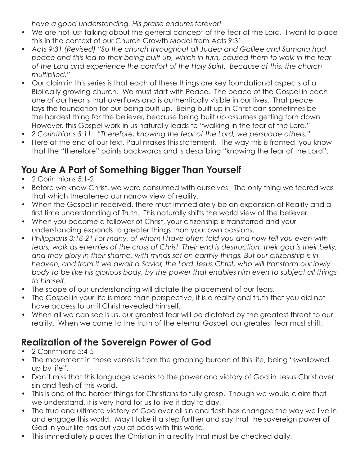*have a good understanding. His praise endures forever!* 

- We are not just talking about the general concept of the fear of the Lord. I want to place this in the context of our Church Growth Model from Acts 9:31.
- *Acts 9:31 (Revised) "So the church throughout all Judea and Galilee and Samaria had peace and this led to their being built up, which in turn, caused them to walk in the fear of the Lord and experience the comfort of the Holy Spirit. Because of this, the church multiplied."*
- Our claim in this series is that each of these things are key foundational aspects of a Biblically growing church. We must start with Peace. The peace of the Gospel in each one of our hearts that overflows and is authentically visible in our lives. That peace lays the foundation for our being built up. Being built up in Christ can sometimes be the hardest thing for the believer, because being built up assumes getting torn down. However, this Gospel work in us naturally leads to "walking in the fear of the Lord."
- *2 Corinthians 5:11: "Therefore, knowing the fear of the Lord, we persuade others."*
- Here at the end of our text, Paul makes this statement. The way this is framed, you know that the "therefore" points backwards and is describing "knowing the fear of the Lord".

## **You Are A Part of Something Bigger Than Yourself**

- 2 Corinthians 5:1-2
- Before we knew Christ, we were consumed with ourselves. The only thing we feared was that which threatened our narrow view of reality.
- When the Gospel in received, there must immediately be an expansion of Reality and a first time understanding of Truth. This naturally shifts the world view of the believer.
- When you become a follower of Christ, your citizenship is transferred and your understanding expands to greater things than your own passions.
- *Philippians 3:18-21 For many, of whom I have often told you and now tell you even with tears, walk as enemies of the cross of Christ. Their end is destruction, their god is their belly, and they glory in their shame, with minds set on earthly things. But our citizenship is in heaven, and from it we await a Savior, the Lord Jesus Christ, who will transform our lowly body to be like his glorious body, by the power that enables him even to subject all things to himself.*
- The scope of our understanding will dictate the placement of our fears.
- The Gospel in your life is more than perspective, it is a reality and truth that you did not have access to until Christ revealed himself.
- When all we can see is us, our greatest fear will be dictated by the greatest threat to our reality. When we come to the truth of the eternal Gospel, our greatest fear must shift.

#### **Realization of the Sovereign Power of God**

- 2 Corinthians 5:4-5
- The movement in these verses is from the groaning burden of this life, being "swallowed up by life".
- Don't miss that this language speaks to the power and victory of God in Jesus Christ over sin and flesh of this world.
- This is one of the harder things for Christians to fully grasp. Though we would claim that we understand, it is very hard for us to live it day to day.
- The true and ultimate victory of God over all sin and flesh has changed the way we live in and engage this world. May I take it a step further and say that the sovereign power of God in your life has put you at odds with this world.
- This immediately places the Christian in a reality that must be checked daily.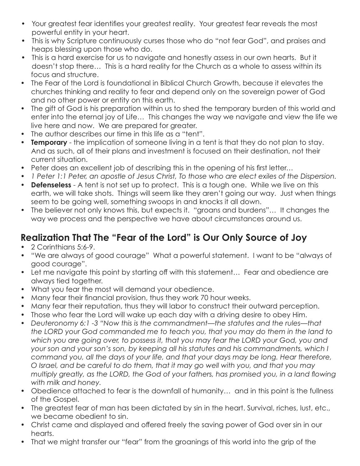- Your greatest fear identifies your greatest reality. Your greatest fear reveals the most powerful entity in your heart.
- This is why Scripture continuously curses those who do "not fear God", and praises and heaps blessing upon those who do.
- This is a hard exercise for us to navigate and honestly assess in our own hearts. But it doesn't stop there… This is a hard reality for the Church as a whole to assess within its focus and structure.
- The Fear of the Lord is foundational in Biblical Church Growth, because it elevates the churches thinking and reality to fear and depend only on the sovereign power of God and no other power or entity on this earth.
- The gift of God is his preparation within us to shed the temporary burden of this world and enter into the eternal joy of Life… This changes the way we navigate and view the life we live here and now. We are prepared for greater.
- The author describes our time in this life as a "tent".
- **Temporary** the implication of someone living in a tent is that they do not plan to stay. And as such, all of their plans and investment is focused on their destination, not their current situation.
- Peter does an excellent job of describing this in the opening of his first letter…
- *1 Peter 1:1 Peter, an apostle of Jesus Christ, To those who are elect exiles of the Dispersion.*
- **Defenseless** A tent is not set up to protect. This is a tough one. While we live on this earth, we will take shots. Things will seem like they aren't going our way. Just when things seem to be going well, something swoops in and knocks it all down.
- The believer not only knows this, but expects it. "groans and burdens"... It changes the way we process and the perspective we have about circumstances around us.

## **Realization That The "Fear of the Lord" is Our Only Source of Joy**

- 2 Corinthians 5:6-9.
- "We are always of good courage" What a powerful statement. I want to be "always of good courage".
- Let me navigate this point by starting off with this statement... Fear and obedience are always tied together.
- What you fear the most will demand your obedience.
- Many fear their financial provision, thus they work 70 hour weeks.
- Many fear their reputation, thus they will labor to construct their outward perception.
- Those who fear the Lord will wake up each day with a driving desire to obey Him.
- *Deuteronomy 6:1 -3 "Now this is the commandment—the statutes and the rules—that the LORD your God commanded me to teach you, that you may do them in the land to which you are going over, to possess it, that you may fear the LORD your God, you and your son and your son's son, by keeping all his statutes and his commandments, which I command you, all the days of your life, and that your days may be long. Hear therefore, O Israel, and be careful to do them, that it may go well with you, and that you may multiply greatly, as the LORD, the God of your fathers, has promised you, in a land flowing with milk and honey.*
- Obedience attached to fear is the downfall of humanity… and in this point is the fullness of the Gospel.
- The greatest fear of man has been dictated by sin in the heart. Survival, riches, lust, etc., we became obedient to sin.
- Christ came and displayed and offered freely the saving power of God over sin in our hearts.
- That we might transfer our "fear" from the groanings of this world into the grip of the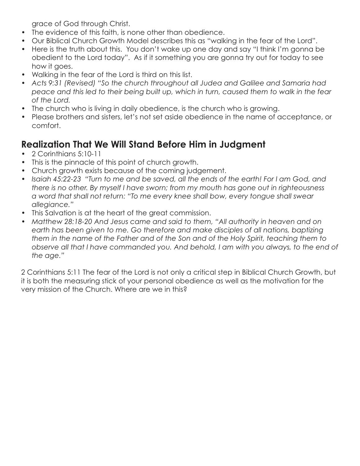grace of God through Christ.

- The evidence of this faith, is none other than obedience.
- Our Biblical Church Growth Model describes this as "walking in the fear of the Lord".
- Here is the truth about this. You don't wake up one day and say "I think I'm gonna be obedient to the Lord today". As if it something you are gonna try out for today to see how it goes.
- Walking in the fear of the Lord is third on this list.
- *Acts 9:31 (Revised) "So the church throughout all Judea and Galilee and Samaria had peace and this led to their being built up, which in turn, caused them to walk in the fear of the Lord.*
- The church who is living in daily obedience, is the church who is growing.
- Please brothers and sisters, let's not set aside obedience in the name of acceptance, or comfort.

#### **Realization That We Will Stand Before Him in Judgment**

- 2 Corinthians 5:10-11
- This is the pinnacle of this point of church growth.
- Church growth exists because of the coming judgement.
- *Isaiah 45:22-23 "Turn to me and be saved, all the ends of the earth! For I am God, and there is no other. By myself I have sworn; from my mouth has gone out in righteousness a word that shall not return: "To me every knee shall bow, every tongue shall swear allegiance."*
- This Salvation is at the heart of the great commission.
- *Matthew 28:18-20 And Jesus came and said to them, "All authority in heaven and on*  earth has been given to me. Go therefore and make disciples of all nations, baptizing *them in the name of the Father and of the Son and of the Holy Spirit, teaching them to observe all that I have commanded you. And behold, I am with you always, to the end of the age."*

2 Corinthians 5:11 The fear of the Lord is not only a critical step in Biblical Church Growth, but it is both the measuring stick of your personal obedience as well as the motivation for the very mission of the Church. Where are we in this?